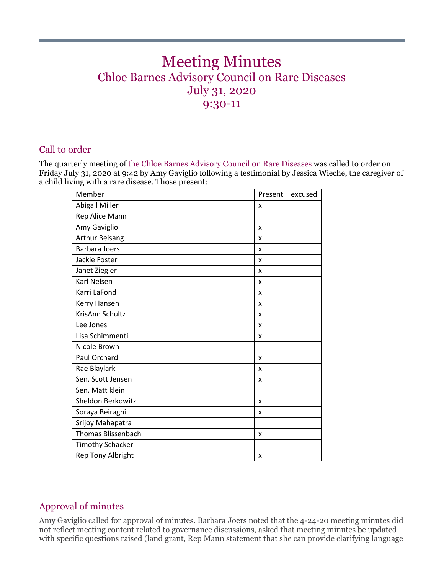# Meeting Minutes Chloe Barnes Advisory Council on Rare Diseases July 31, 2020 9:30-11

## Call to order

The quarterly meeting of the Chloe Barnes Advisory Council on Rare Diseases was called to order on Friday July 31, 2020 at 9:42 by Amy Gaviglio following a testimonial by Jessica Wieche, the caregiver of a child living with a rare disease. Those present:

| Member                    | Present | excused |
|---------------------------|---------|---------|
| Abigail Miller            | x       |         |
| Rep Alice Mann            |         |         |
| Amy Gaviglio              | x       |         |
| <b>Arthur Beisang</b>     | x       |         |
| <b>Barbara Joers</b>      | x       |         |
| Jackie Foster             | x       |         |
| Janet Ziegler             | X       |         |
| Karl Nelsen               | x       |         |
| Karri LaFond              | x       |         |
| Kerry Hansen              | x       |         |
| KrisAnn Schultz           | x       |         |
| Lee Jones                 | X       |         |
| Lisa Schimmenti           | x       |         |
| Nicole Brown              |         |         |
| Paul Orchard              | X       |         |
| Rae Blaylark              | x       |         |
| Sen. Scott Jensen         | x       |         |
| Sen. Matt klein           |         |         |
| Sheldon Berkowitz         | x       |         |
| Soraya Beiraghi           | x       |         |
| Srijoy Mahapatra          |         |         |
| <b>Thomas Blissenbach</b> | x       |         |
| <b>Timothy Schacker</b>   |         |         |
| Rep Tony Albright         | x       |         |

# Approval of minutes

Amy Gaviglio called for approval of minutes. Barbara Joers noted that the 4-24-20 meeting minutes did not reflect meeting content related to governance discussions, asked that meeting minutes be updated with specific questions raised (land grant, Rep Mann statement that she can provide clarifying language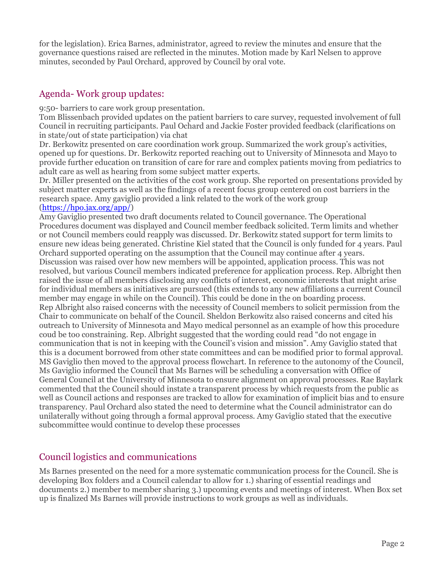for the legislation). Erica Barnes, administrator, agreed to review the minutes and ensure that the governance questions raised are reflected in the minutes. Motion made by Karl Nelsen to approve minutes, seconded by Paul Orchard, approved by Council by oral vote.

## Agenda- Work group updates:

9:50- barriers to care work group presentation.

Tom Blissenbach provided updates on the patient barriers to care survey, requested involvement of full Council in recruiting participants. Paul Ochard and Jackie Foster provided feedback (clarifications on in state/out of state participation) via chat

Dr. Berkowitz presented on care coordination work group. Summarized the work group's activities, opened up for questions. Dr. Berkowitz reported reaching out to University of Minnesota and Mayo to provide further education on transition of care for rare and complex patients moving from pediatrics to adult care as well as hearing from some subject matter experts.

Dr. Miller presented on the activities of the cost work group. She reported on presentations provided by subject matter experts as well as the findings of a recent focus group centered on cost barriers in the research space. Amy gaviglio provided a link related to the work of the work group

#### [\(https://hpo.jax.org/app/\)](https://hpo.jax.org/app/)

Amy Gaviglio presented two draft documents related to Council governance. The Operational Procedures document was displayed and Council member feedback solicited. Term limits and whether or not Council members could reapply was discussed. Dr. Berkowitz stated support for term limits to ensure new ideas being generated. Christine Kiel stated that the Council is only funded for 4 years. Paul Orchard supported operating on the assumption that the Council may continue after 4 years. Discussion was raised over how new members will be appointed, application process. This was not resolved, but various Council members indicated preference for application process. Rep. Albright then raised the issue of all members disclosing any conflicts of interest, economic interests that might arise for individual members as initiatives are pursued (this extends to any new affiliations a current Council member may engage in while on the Council). This could be done in the on boarding process. Rep Albright also raised concerns with the necessity of Council members to solicit permission from the Chair to communicate on behalf of the Council. Sheldon Berkowitz also raised concerns and cited his outreach to University of Minnesota and Mayo medical personnel as an example of how this procedure coud be too constraining. Rep. Albright suggested that the wording could read "do not engage in communication that is not in keeping with the Council's vision and mission". Amy Gaviglio stated that this is a document borrowed from other state committees and can be modified prior to formal approval. MS Gaviglio then moved to the approval process flowchart. In reference to the autonomy of the Council, Ms Gaviglio informed the Council that Ms Barnes will be scheduling a conversation with Office of General Council at the University of Minnesota to ensure alignment on approval processes. Rae Baylark commented that the Council should instate a transparent process by which requests from the public as well as Council actions and responses are tracked to allow for examination of implicit bias and to ensure transparency. Paul Orchard also stated the need to determine what the Council administrator can do unilaterally without going through a formal approval process. Amy Gaviglio stated that the executive subcommittee would continue to develop these processes

## Council logistics and communications

Ms Barnes presented on the need for a more systematic communication process for the Council. She is developing Box folders and a Council calendar to allow for 1.) sharing of essential readings and documents 2.) member to member sharing 3.) upcoming events and meetings of interest. When Box set up is finalized Ms Barnes will provide instructions to work groups as well as individuals.